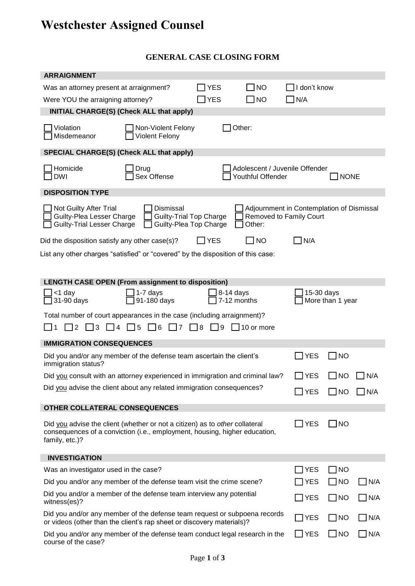## **Westchester Assigned Counsel**

## **GENERAL CASE CLOSING FORM**

| Was an attorney present at arraignment?                                                                                                                                     |                                  | <b>YES</b>                                               | <b>NO</b>                                           | $\exists$ I don't know                                               |                  |               |
|-----------------------------------------------------------------------------------------------------------------------------------------------------------------------------|----------------------------------|----------------------------------------------------------|-----------------------------------------------------|----------------------------------------------------------------------|------------------|---------------|
| Were YOU the arraigning attorney?                                                                                                                                           |                                  | <b>YES</b>                                               | <b>NO</b>                                           | $\exists$ N/A                                                        |                  |               |
| <b>INITIAL CHARGE(S) (Check ALL that apply)</b>                                                                                                                             |                                  |                                                          |                                                     |                                                                      |                  |               |
| Violation<br>Non-Violent Felony<br>Other:<br>Misdemeanor<br><b>Violent Felony</b>                                                                                           |                                  |                                                          |                                                     |                                                                      |                  |               |
| SPECIAL CHARGE(S) (Check ALL that apply)                                                                                                                                    |                                  |                                                          |                                                     |                                                                      |                  |               |
| Homicide<br>DWI                                                                                                                                                             | Drug<br>Sex Offense              |                                                          | Adolescent / Juvenile Offender<br>Youthful Offender |                                                                      | <b>NONE</b>      |               |
| <b>DISPOSITION TYPE</b>                                                                                                                                                     |                                  |                                                          |                                                     |                                                                      |                  |               |
| Not Guilty After Trial<br>Guilty-Plea Lesser Charge<br><b>Guilty-Trial Lesser Charge</b>                                                                                    | Dismissal                        | <b>Guilty-Trial Top Charge</b><br>Guilty-Plea Top Charge | Other:                                              | Adjournment in Contemplation of Dismissal<br>Removed to Family Court |                  |               |
| Did the disposition satisfy any other case(s)?                                                                                                                              |                                  | l YES                                                    | <b>NO</b>                                           | N/A                                                                  |                  |               |
| List any other charges "satisfied" or "covered" by the disposition of this case:                                                                                            |                                  |                                                          |                                                     |                                                                      |                  |               |
| <b>LENGTH CASE OPEN (From assignment to disposition)</b>                                                                                                                    |                                  |                                                          |                                                     |                                                                      |                  |               |
| <1 day<br>31-90 days                                                                                                                                                        | 1-7 days<br>91-180 days          |                                                          | $8-14$ days<br>7-12 months                          | 15-30 days                                                           | More than 1 year |               |
| Total number of court appearances in the case (including arraignment)?                                                                                                      |                                  |                                                          |                                                     |                                                                      |                  |               |
| $\vert$ 3<br> 4<br>2                                                                                                                                                        | $\Box$ 5<br>6<br>$\overline{17}$ | $\Box$ 8<br>コ9                                           | $\sqrt{ }10$ or more                                |                                                                      |                  |               |
| <b>IMMIGRATION CONSEQUENCES</b>                                                                                                                                             |                                  |                                                          |                                                     |                                                                      |                  |               |
| Did you and/or any member of the defense team ascertain the client's<br>immigration status?                                                                                 |                                  |                                                          |                                                     | YES                                                                  | <b>NO</b>        |               |
| Did you consult with an attorney experienced in immigration and criminal law?                                                                                               |                                  |                                                          |                                                     | <b>YES</b>                                                           | <b>NO</b>        | N/A           |
| Did you advise the client about any related immigration consequences?                                                                                                       |                                  |                                                          |                                                     | $\sqrt{\ }$ YES                                                      | $\Box$ NO        | N/A           |
| OTHER COLLATERAL CONSEQUENCES                                                                                                                                               |                                  |                                                          |                                                     |                                                                      |                  |               |
| Did you advise the client (whether or not a citizen) as to other collateral<br>consequences of a conviction (i.e., employment, housing, higher education,<br>family, etc.)? |                                  |                                                          |                                                     | $\exists$ YES                                                        | $\Box$ NO        |               |
| <b>INVESTIGATION</b>                                                                                                                                                        |                                  |                                                          |                                                     |                                                                      |                  |               |
| Was an investigator used in the case?                                                                                                                                       |                                  |                                                          |                                                     | ] YES                                                                | $\Box$ NO        |               |
| Did you and/or any member of the defense team visit the crime scene?                                                                                                        |                                  |                                                          |                                                     | ] YES                                                                | $\Box$ NO        | N/A           |
| Did you and/or a member of the defense team interview any potential<br>witness(es)?                                                                                         |                                  |                                                          |                                                     | $J$ YES                                                              | $\Box$ NO        | N/A           |
| Did you and/or any member of the defense team request or subpoena records<br>or videos (other than the client's rap sheet or discovery materials)?                          |                                  |                                                          |                                                     | $\exists$ YES                                                        | $\Box$ NO        | $\exists$ N/A |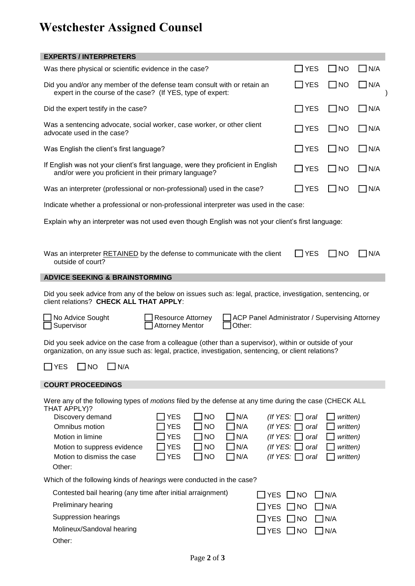## **Westchester Assigned Counsel**

| <b>EXPERTS / INTERPRETERS</b>                                                                                                                                                                                 |                           |           |            |                                                     |              |             |  |
|---------------------------------------------------------------------------------------------------------------------------------------------------------------------------------------------------------------|---------------------------|-----------|------------|-----------------------------------------------------|--------------|-------------|--|
| Was there physical or scientific evidence in the case?                                                                                                                                                        |                           |           |            | <b>YES</b>                                          | $\Box$ No    | $\Box$ N/A  |  |
| Did you and/or any member of the defense team consult with or retain an<br>expert in the course of the case? (If YES, type of expert:                                                                         |                           |           |            | $\exists$ YES                                       | $\square$ NO | $\Box$ N/A  |  |
| Did the expert testify in the case?                                                                                                                                                                           |                           |           |            | YES                                                 | I INO        | N/A         |  |
| Was a sentencing advocate, social worker, case worker, or other client<br>advocate used in the case?                                                                                                          |                           |           |            | $\exists$ YES                                       | $\Box$ NO    | $\Box$ N/A  |  |
| Was English the client's first language?                                                                                                                                                                      |                           |           |            | <b>YES</b>                                          | $\Box$ NO    | $\Box$ N/A  |  |
| If English was not your client's first language, were they proficient in English<br>and/or were you proficient in their primary language?                                                                     |                           |           |            | $\Box$ YES                                          | $\Box$ NO    | $\Box$ N/A  |  |
| Was an interpreter (professional or non-professional) used in the case?                                                                                                                                       |                           |           |            | YES                                                 | $\Box$ NO    | $\Box$ N/A  |  |
| Indicate whether a professional or non-professional interpreter was used in the case:                                                                                                                         |                           |           |            |                                                     |              |             |  |
| Explain why an interpreter was not used even though English was not your client's first language:                                                                                                             |                           |           |            |                                                     |              |             |  |
|                                                                                                                                                                                                               |                           |           |            |                                                     |              |             |  |
| $\Box$ YES<br>$\square$ NO<br>Was an interpreter RETAINED by the defense to communicate with the client<br>outside of court?                                                                                  |                           |           |            |                                                     | IN/A         |             |  |
| <b>ADVICE SEEKING &amp; BRAINSTORMING</b>                                                                                                                                                                     |                           |           |            |                                                     |              |             |  |
| Did you seek advice from any of the below on issues such as: legal, practice, investigation, sentencing, or<br>client relations? CHECK ALL THAT APPLY:                                                        |                           |           |            |                                                     |              |             |  |
| No Advice Sought<br><b>Resource Attorney</b><br>ACP Panel Administrator / Supervising Attorney<br>Other:<br>Supervisor<br><b>Attorney Mentor</b>                                                              |                           |           |            |                                                     |              |             |  |
| Did you seek advice on the case from a colleague (other than a supervisor), within or outside of your<br>organization, on any issue such as: legal, practice, investigation, sentencing, or client relations? |                           |           |            |                                                     |              |             |  |
| <b>YES</b><br>N/A<br><b>NO</b>                                                                                                                                                                                |                           |           |            |                                                     |              |             |  |
| <b>COURT PROCEEDINGS</b>                                                                                                                                                                                      |                           |           |            |                                                     |              |             |  |
| Were any of the following types of <i>motions</i> filed by the defense at any time during the case (CHECK ALL<br>THAT APPLY)?                                                                                 |                           |           |            |                                                     |              |             |  |
| Discovery demand                                                                                                                                                                                              | <b>YES</b>                | <b>NO</b> | N/A        | (If $YES:$ [                                        | oral         | written)    |  |
| Omnibus motion                                                                                                                                                                                                | <b>YES</b>                | <b>NO</b> | N/A        | (If $YES:$ )                                        | oral         | written)    |  |
| Motion in limine                                                                                                                                                                                              | <b>YES</b>                | <b>NO</b> | N/A        | (If $YES:$ )                                        | oral         | written)    |  |
| Motion to suppress evidence                                                                                                                                                                                   | <b>YES</b>                | <b>NO</b> | N/A        | (If $YES:$                                          | oral         | written)    |  |
| Motion to dismiss the case<br>Other:                                                                                                                                                                          | <b>YES</b>                | <b>NO</b> | N/A        | (If YES: [                                          | oral         | written)    |  |
| Which of the following kinds of <i>hearings</i> were conducted in the case?                                                                                                                                   |                           |           |            |                                                     |              |             |  |
| Contested bail hearing (any time after initial arraignment)                                                                                                                                                   |                           |           |            | <b>YES</b>                                          | $\Box$ NO    |             |  |
| Preliminary hearing                                                                                                                                                                                           |                           |           | $\Box$ N/A |                                                     |              |             |  |
| Suppression hearings                                                                                                                                                                                          |                           |           |            | <b>YES</b><br>$\Box$ N/A<br>$\Box$ NO               |              |             |  |
|                                                                                                                                                                                                               |                           |           |            | <b>YES</b><br>$\Box$ NO<br>$\Box$ N/A<br><b>YES</b> |              |             |  |
| Other:                                                                                                                                                                                                        | Molineux/Sandoval hearing |           |            |                                                     | $\Box$ NO    | $\n  N/A\n$ |  |
|                                                                                                                                                                                                               |                           |           |            |                                                     |              |             |  |